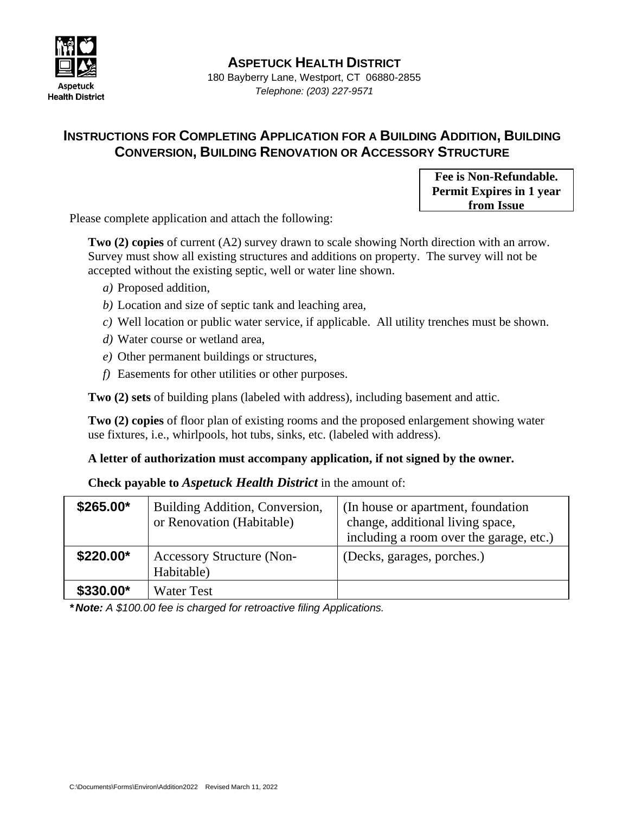

**ASPETUCK HEALTH DISTRICT**

180 Bayberry Lane, Westport, CT 06880-2855 *Telephone: (203) 227-9571*

## **INSTRUCTIONS FOR COMPLETING APPLICATION FOR A BUILDING ADDITION, BUILDING CONVERSION, BUILDING RENOVATION OR ACCESSORY STRUCTURE**

**Fee is Non-Refundable. Permit Expires in 1 year from Issue**

Please complete application and attach the following:

**Two (2) copies** of current (A2) survey drawn to scale showing North direction with an arrow. Survey must show all existing structures and additions on property. The survey will not be accepted without the existing septic, well or water line shown.

- *a)* Proposed addition,
- *b)* Location and size of septic tank and leaching area,
- *c)* Well location or public water service, if applicable. All utility trenches must be shown.
- *d)* Water course or wetland area,
- *e)* Other permanent buildings or structures,
- *f)* Easements for other utilities or other purposes.

**Two (2) sets** of building plans (labeled with address), including basement and attic.

**Two (2) copies** of floor plan of existing rooms and the proposed enlargement showing water use fixtures, i.e., whirlpools, hot tubs, sinks, etc. (labeled with address).

## **A letter of authorization must accompany application, if not signed by the owner.**

**Check payable to** *Aspetuck Health District* in the amount of:

| $$265.00*$ | Building Addition, Conversion,<br>or Renovation (Habitable) | (In house or apartment, foundation)<br>change, additional living space,<br>including a room over the garage, etc.) |
|------------|-------------------------------------------------------------|--------------------------------------------------------------------------------------------------------------------|
| \$220.00*  | <b>Accessory Structure (Non-</b><br>Habitable)              | (Decks, garages, porches.)                                                                                         |
| \$330.00*  | <b>Water Test</b>                                           |                                                                                                                    |

*\* Note: A \$100.00 fee is charged for retroactive filing Applications.*